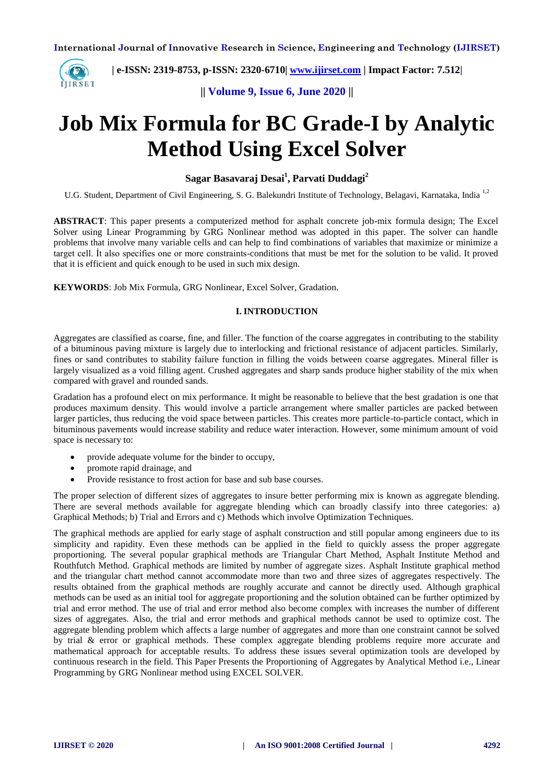

 **| e-ISSN: 2319-8753, p-ISSN: 2320-6710| [www.ijirset.com](http://www.ijirset.com/) | Impact Factor: 7.512|**

**|| Volume 9, Issue 6, June 2020 ||** 

# **Job Mix Formula for BC Grade-I by Analytic Method Using Excel Solver**

**Sagar Basavaraj Desai<sup>1</sup> , Parvati Duddagi<sup>2</sup>**

U.G. Student, Department of Civil Engineering, S. G. Balekundri Institute of Technology, Belagavi, Karnataka, India<sup>1,2</sup>

**ABSTRACT**: This paper presents a computerized method for asphalt concrete job-mix formula design; The Excel Solver using Linear Programming by GRG Nonlinear method was adopted in this paper. The solver can handle problems that involve many variable cells and can help to find combinations of variables that maximize or minimize a target cell. İt also specifies one or more constraints-conditions that must be met for the solution to be valid. It proved that it is efficient and quick enough to be used in such mix design.

**KEYWORDS**: Job Mix Formula, GRG Nonlinear, Excel Solver, Gradation.

#### **I. INTRODUCTION**

Aggregates are classified as coarse, fine, and filler. The function of the coarse aggregates in contributing to the stability of a bituminous paving mixture is largely due to interlocking and frictional resistance of adjacent particles. Similarly, fines or sand contributes to stability failure function in filling the voids between coarse aggregates. Mineral filler is largely visualized as a void filling agent. Crushed aggregates and sharp sands produce higher stability of the mix when compared with gravel and rounded sands.

Gradation has a profound elect on mix performance. It might be reasonable to believe that the best gradation is one that produces maximum density. This would involve a particle arrangement where smaller particles are packed between larger particles, thus reducing the void space between particles. This creates more particle-to-particle contact, which in bituminous pavements would increase stability and reduce water interaction. However, some minimum amount of void space is necessary to:

- provide adequate volume for the binder to occupy,
- promote rapid drainage, and
- Provide resistance to frost action for base and sub base courses.

The proper selection of different sizes of aggregates to insure better performing mix is known as aggregate blending. There are several methods available for aggregate blending which can broadly classify into three categories: a) Graphical Methods; b) Trial and Errors and c) Methods which involve Optimization Techniques.

The graphical methods are applied for early stage of asphalt construction and still popular among engineers due to its simplicity and rapidity. Even these methods can be applied in the field to quickly assess the proper aggregate proportioning. The several popular graphical methods are Triangular Chart Method, Asphalt Institute Method and Routhfutch Method. Graphical methods are limited by number of aggregate sizes. Asphalt Institute graphical method and the triangular chart method cannot accommodate more than two and three sizes of aggregates respectively. The results obtained from the graphical methods are roughly accurate and cannot be directly used. Although graphical methods can be used as an initial tool for aggregate proportioning and the solution obtained can be further optimized by trial and error method. The use of trial and error method also become complex with increases the number of different sizes of aggregates. Also, the trial and error methods and graphical methods cannot be used to optimize cost. The aggregate blending problem which affects a large number of aggregates and more than one constraint cannot be solved by trial & error or graphical methods. These complex aggregate blending problems require more accurate and mathematical approach for acceptable results. To address these issues several optimization tools are developed by continuous research in the field. This Paper Presents the Proportioning of Aggregates by Analytical Method i.e., Linear Programming by GRG Nonlinear method using EXCEL SOLVER.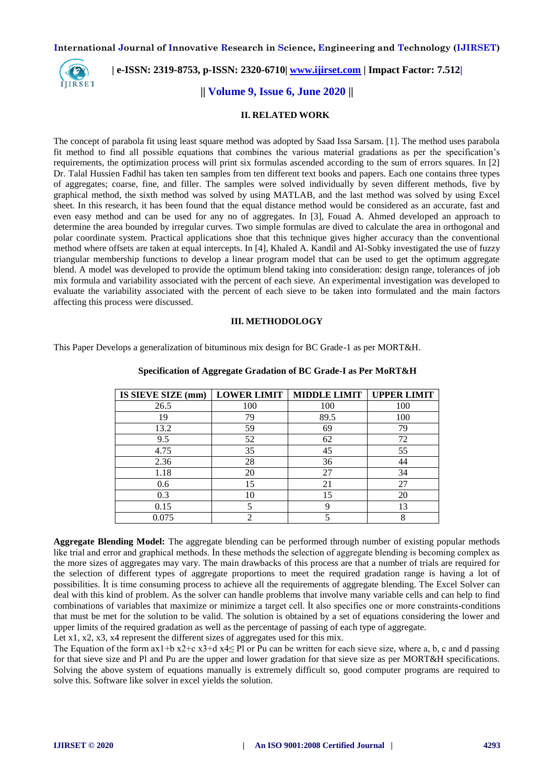

## **| e-ISSN: 2319-8753, p-ISSN: 2320-6710| [www.ijirset.com](http://www.ijirset.com/) | Impact Factor: 7.512|**

### **|| Volume 9, Issue 6, June 2020 ||**

#### **II. RELATED WORK**

The concept of parabola fit using least square method was adopted by Saad Issa Sarsam. [1]. The method uses parabola fit method to find all possible equations that combines the various material gradations as per the specification's requirements, the optimization process will print six formulas ascended according to the sum of errors squares. In [2] Dr. Talal Hussien Fadhil has taken ten samples from ten different text books and papers. Each one contains three types of aggregates; coarse, fine, and filler. The samples were solved individually by seven different methods, five by graphical method, the sixth method was solved by using MATLAB, and the last method was solved by using Excel sheet. In this research, it has been found that the equal distance method would be considered as an accurate, fast and even easy method and can be used for any no of aggregates. In [3], Fouad A. Ahmed developed an approach to determine the area bounded by irregular curves. Two simple formulas are dived to calculate the area in orthogonal and polar coordinate system. Practical applications shoe that this technique gives higher accuracy than the conventional method where offsets are taken at equal intercepts. In [4], Khaled A. Kandil and Al-Sobky investigated the use of fuzzy triangular membership functions to develop a linear program model that can be used to get the optimum aggregate blend. A model was developed to provide the optimum blend taking into consideration: design range, tolerances of job mix formula and variability associated with the percent of each sieve. An experimental investigation was developed to evaluate the variability associated with the percent of each sieve to be taken into formulated and the main factors affecting this process were discussed.

#### **III. METHODOLOGY**

This Paper Develops a generalization of bituminous mix design for BC Grade-1 as per MORT&H.

| IS SIEVE SIZE (mm) | <b>LOWER LIMIT</b> | <b>MIDDLE LIMIT</b> | <b>UPPER LIMIT</b> |
|--------------------|--------------------|---------------------|--------------------|
| 26.5               | 100                | 100                 | 100                |
| 19                 | 79                 | 89.5                | 100                |
| 13.2               | 59                 | 69                  | 79                 |
| 9.5                | 52                 | 62                  | 72                 |
| 4.75               | 35                 | 45                  | 55                 |
| 2.36               | 28                 | 36                  | 44                 |
| 1.18               | 20                 | 27                  | 34                 |
| 0.6                | 15                 | 21                  | 27                 |
| 0.3                | 10                 | 15                  | 20                 |
| 0.15               |                    | Q                   | 13                 |
| 0.075              | ി                  |                     | 8                  |

#### **Specification of Aggregate Gradation of BC Grade-I as Per MoRT&H**

**Aggregate Blending Model:** The aggregate blending can be performed through number of existing popular methods like trial and error and graphical methods. İn these methods the selection of aggregate blending is becoming complex as the more sizes of aggregates may vary. The main drawbacks of this process are that a number of trials are required for the selection of different types of aggregate proportions to meet the required gradation range is having a lot of possibilities. İt is time consuming process to achieve all the requirements of aggregate blending. The Excel Solver can deal with this kind of problem. As the solver can handle problems that involve many variable cells and can help to find combinations of variables that maximize or minimize a target cell. İt also specifies one or more constraints-conditions that must be met for the solution to be valid. The solution is obtained by a set of equations considering the lower and upper limits of the required gradation as well as the percentage of passing of each type of aggregate.

Let x1, x2, x3, x4 represent the different sizes of aggregates used for this mix.

The Equation of the form  $ax1+b x2+c x3+d x4 \leq Pl$  or Pu can be written for each sieve size, where a, b, c and d passing for that sieve size and Pl and Pu are the upper and lower gradation for that sieve size as per MORT&H specifications. Solving the above system of equations manually is extremely difficult so, good computer programs are required to solve this. Software like solver in excel yields the solution.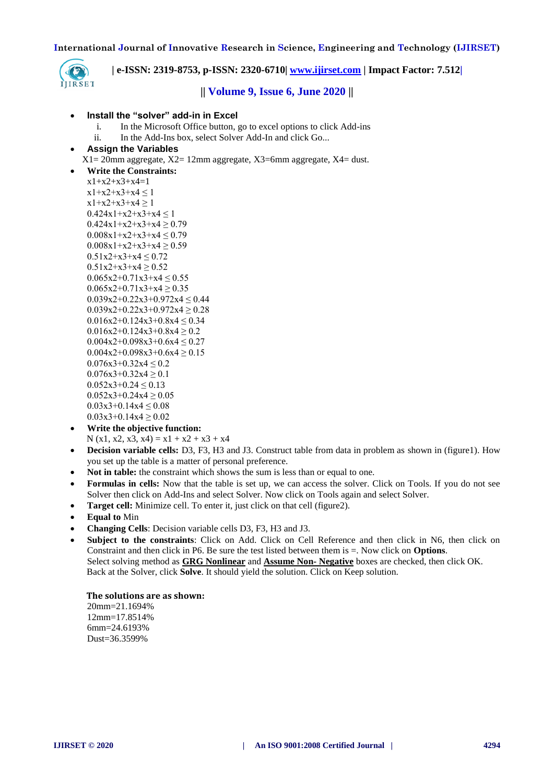

 **| e-ISSN: 2319-8753, p-ISSN: 2320-6710| [www.ijirset.com](http://www.ijirset.com/) | Impact Factor: 7.512|**

## **|| Volume 9, Issue 6, June 2020 ||**

#### **Install the "solver" add-in in Excel**

- i. In the Microsoft Office button, go to excel options to click Add-ins
- ii. In the Add-Ins box, select Solver Add-In and click Go...
- **Assign the Variables**
	- $X1 = 20$ mm aggregate,  $X2 = 12$ mm aggregate,  $X3 = 6$ mm aggregate,  $X4 =$  dust.

```
 Write the Constraints:
x1+x2+x3+x4=1x1+x2+x3+x4 \leq 1x1+x2+x3+x4 \ge 10.424x1+x2+x3+x4 \leq 10.424x1+x2+x3+x4 \ge 0.790.008x1+x2+x3+x4 \le 0.790.008x1+x2+x3+x4 \ge 0.590.51x2+x3+x4 \le 0.720.51x2+x3+x4 \ge 0.520.065x2+0.71x3+x4 \le 0.550.065x2+0.71x3+x4 \ge 0.350.039x2+0.22x3+0.972x4 \le 0.440.039x2+0.22x3+0.972x4 \ge 0.280.016x2+0.124x3+0.8x4 \le 0.340.016x2+0.124x3+0.8x4 \ge 0.20.004x2+0.098x3+0.6x4 \le 0.270.004x2+0.098x3+0.6x4 > 0.150.076x3+0.32x4 \leq 0.20.076x3+0.32x4 \ge 0.10.052x3+0.24 \le 0.130.052x3+0.24x4 \ge 0.050.03x3+0.14x4 \le 0.080.03x3+0.14x4 \ge 0.02
```
- **Write the objective function:** N (x1, x2, x3, x4) =  $x1 + x2 + x3 + x4$
- **Decision variable cells:** D3, F3, H3 and J3. Construct table from data in problem as shown in (figure1). How you set up the table is a matter of personal preference.
- **Not in table:** the constraint which shows the sum is less than or equal to one.
- **Formulas in cells:** Now that the table is set up, we can access the solver. Click on Tools. If you do not see Solver then click on Add-Ins and select Solver. Now click on Tools again and select Solver.
- **Target cell:** Minimize cell. To enter it, just click on that cell (figure2).
- **Equal to** Min
- **Changing Cells**: Decision variable cells D3, F3, H3 and J3.
- **Subject to the constraints**: Click on Add. Click on Cell Reference and then click in N6, then click on Constraint and then click in P6. Be sure the test listed between them is =. Now click on **Options**. Select solving method as **GRG Nonlinear** and **Assume Non- Negative** boxes are checked, then click OK. Back at the Solver, click **Solve**. It should yield the solution. Click on Keep solution.

#### **The solutions are as shown:**

20mm=21.1694% 12mm=17.8514% 6mm=24.6193% Dust=36.3599%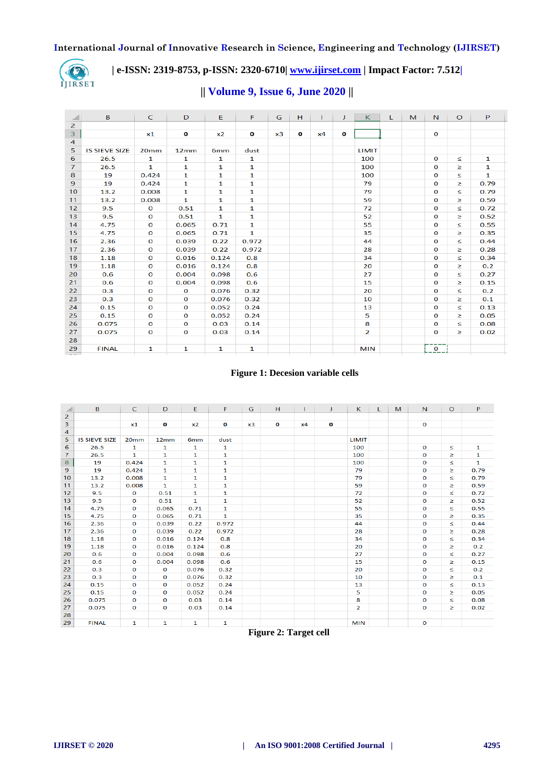

# **| e-ISSN: 2319-8753, p-ISSN: 2320-6710| [www.ijirset.com](http://www.ijirset.com/) | Impact Factor: 7.512|**

|  | $\parallel$ Volume 9, Issue 6, June 2020 $\parallel$ |
|--|------------------------------------------------------|
|--|------------------------------------------------------|

| ◢              | B                    | $\mathsf{C}$     | D            | Ε               | F            | G  | H            | т. | J            | $\kappa$       | L. | M | N            | $\circ$ | P    |  |
|----------------|----------------------|------------------|--------------|-----------------|--------------|----|--------------|----|--------------|----------------|----|---|--------------|---------|------|--|
| $\overline{2}$ |                      |                  |              |                 |              |    |              |    |              |                |    |   |              |         |      |  |
| 3              |                      | x1               | $\mathbf{o}$ | x2              | $\mathbf{o}$ | x3 | $\mathbf{o}$ | x4 | $\mathbf{o}$ |                |    |   | $\mathbf{o}$ |         |      |  |
| 4              |                      |                  |              |                 |              |    |              |    |              |                |    |   |              |         |      |  |
| 5              | <b>IS SIEVE SIZE</b> | 20 <sub>mm</sub> | 12mm         | 6 <sub>mm</sub> | dust         |    |              |    |              | LIMIT          |    |   |              |         |      |  |
| 6              | 26.5                 | $\mathbf{1}$     | $\mathbf{1}$ | $\mathbf{1}$    | $\mathbf{1}$ |    |              |    |              | 100            |    |   | $\mathbf{o}$ | $\leq$  | 1    |  |
| $\overline{7}$ | 26.5                 | 1                | 1            | 1               | 1            |    |              |    |              | 100            |    |   | $\Omega$     | ≥       | 1    |  |
| 8              | 19                   | 0.424            | 1            | 1               | 1            |    |              |    |              | 100            |    |   | O            | ≤       | 1    |  |
| 9              | 19                   | 0.424            | $\mathbf{1}$ | $\mathbf{1}$    | 1            |    |              |    |              | 79             |    |   | $\Omega$     | ≥       | 0.79 |  |
| 10             | 13.2                 | 0.008            | 1            | $\mathbf{1}$    | 1            |    |              |    |              | 79             |    |   | $\Omega$     | ≤       | 0.79 |  |
| 11             | 13.2                 | 0.008            | 1            | 1               | 1            |    |              |    |              | 59             |    |   | O            | ≥       | 0.59 |  |
| 12             | 9.5                  | $\mathbf{o}$     | 0.51         | $\mathbf{1}$    | 1            |    |              |    |              | 72             |    |   | 0            | ≤       | 0.72 |  |
| 13             | 9.5                  | $\mathbf{o}$     | 0.51         | $\mathbf{1}$    | 1            |    |              |    |              | 52             |    |   | $\mathbf{o}$ | ≥       | 0.52 |  |
| 14             | 4.75                 | $\mathbf 0$      | 0.065        | 0.71            | $\mathbf{1}$ |    |              |    |              | 55             |    |   | $\mathbf 0$  | ≤       | 0.55 |  |
| 15             | 4.75                 | $\mathbf 0$      | 0.065        | 0.71            | $\mathbf{1}$ |    |              |    |              | 35             |    |   | $\mathbf 0$  | ≥       | 0.35 |  |
| 16             | 2.36                 | $\mathbf 0$      | 0.039        | 0.22            | 0.972        |    |              |    |              | 44             |    |   | $\Omega$     | ≤       | 0.44 |  |
| 17             | 2.36                 | $\mathbf 0$      | 0.039        | 0.22            | 0.972        |    |              |    |              | 28             |    |   | $\mathbf 0$  | ≥       | 0.28 |  |
| 18             | 1.18                 | $\mathbf 0$      | 0.016        | 0.124           | 0.8          |    |              |    |              | 34             |    |   | $\Omega$     | ×.      | 0.34 |  |
| 19             | 1.18                 | $\mathbf 0$      | 0.016        | 0.124           | 0.8          |    |              |    |              | 20             |    |   | $\Omega$     | ≥       | 0.2  |  |
| 20             | 0.6                  | $\mathbf{o}$     | 0.004        | 0.098           | 0.6          |    |              |    |              | 27             |    |   | O            | ≤       | 0.27 |  |
| 21             | 0.6                  | $\mathbf{o}$     | 0.004        | 0.098           | 0.6          |    |              |    |              | 15             |    |   | $\mathbf 0$  | ≥       | 0.15 |  |
| 22             | 0.3                  | O                | $\mathbf{o}$ | 0.076           | 0.32         |    |              |    |              | 20             |    |   | $\Omega$     | ≤       | 0.2  |  |
| 23             | 0.3                  | $\mathbf 0$      | $\mathbf 0$  | 0.076           | 0.32         |    |              |    |              | 10             |    |   | $\mathbf 0$  | ≥       | 0.1  |  |
| 24             | 0.15                 | $\mathbf{o}$     | $\mathbf{o}$ | 0.052           | 0.24         |    |              |    |              | 13             |    |   | $\mathbf 0$  | ×.      | 0.13 |  |
| 25             | 0.15                 | $\mathbf 0$      | $\mathbf 0$  | 0.052           | 0.24         |    |              |    |              | 5              |    |   | $\Omega$     | ≥       | 0.05 |  |
| 26             | 0.075                | $\mathbf 0$      | $\mathbf 0$  | 0.03            | 0.14         |    |              |    |              | 8              |    |   | O            | ≤       | 0.08 |  |
| 27             | 0.075                | $\mathbf 0$      | $\mathbf 0$  | 0.03            | 0.14         |    |              |    |              | $\overline{2}$ |    |   | $\mathbf 0$  | ≥       | 0.02 |  |
| 28             |                      |                  |              |                 |              |    |              |    |              |                |    |   |              |         |      |  |
| 29             | <b>FINAL</b>         | 1                | 1            | $\mathbf{1}$    | $\mathbf{1}$ |    |              |    |              | <b>MIN</b>     |    |   | $\mathbf 0$  |         |      |  |

#### **Figure 1: Decesion variable cells**

| ◢              | B                    | C            | D            | E.              | F.           | G  | H            |    | J           | K              | L. | M | N           | $\circ$ | P            |
|----------------|----------------------|--------------|--------------|-----------------|--------------|----|--------------|----|-------------|----------------|----|---|-------------|---------|--------------|
| $\overline{2}$ |                      |              |              |                 |              |    |              |    |             |                |    |   |             |         |              |
| 3              |                      | x1           | $\mathbf o$  | x2              | o            | x3 | $\mathbf{o}$ | x4 | $\mathbf o$ |                |    |   | $\bf{O}$    |         |              |
| $\overline{4}$ |                      |              |              |                 |              |    |              |    |             |                |    |   |             |         |              |
| 5              | <b>IS SIEVE SIZE</b> | 20mm         | 12mm         | 6 <sub>mm</sub> | dust         |    |              |    |             | <b>LIMIT</b>   |    |   |             |         |              |
| 6              | 26.5                 | $\mathbf{1}$ | $\mathbf{1}$ | $\mathbf{1}$    | $\mathbf{1}$ |    |              |    |             | 100            |    |   | $\bf{0}$    | ≤       | 1            |
| $\overline{7}$ | 26.5                 | $\mathbf{1}$ | 1            | 1               | 1            |    |              |    |             | 100            |    |   | $\mathbf 0$ | ≥       | 1            |
| 8              | 19                   | 0.424        | 1            | $\mathbf{1}$    | 1            |    |              |    |             | 100            |    |   | $\mathbf 0$ | ≤       | $\mathbf{1}$ |
| 9              | 19                   | 0.424        | 1            | 1               | 1            |    |              |    |             | 79             |    |   | $\bf{O}$    | ×.      | 0.79         |
| 10             | 13.2                 | 0.008        | 1            | 1               | 1            |    |              |    |             | 79             |    |   | $\mathbf 0$ | ≤       | 0.79         |
| 11             | 13.2                 | 0.008        | 1            | 1               | 1            |    |              |    |             | 59             |    |   | $\mathbf 0$ | ≥       | 0.59         |
| 12             | 9.5                  | $\mathbf{o}$ | 0.51         | 1               | 1            |    |              |    |             | 72             |    |   | $\mathbf 0$ | ≤       | 0.72         |
| 13             | 9.5                  | $\mathbf{o}$ | 0.51         | $\mathbf{1}$    | 1            |    |              |    |             | 52             |    |   | $\mathbf 0$ | ≥       | 0.52         |
| 14             | 4.75                 | $\mathbf{o}$ | 0.065        | 0.71            | 1            |    |              |    |             | 55             |    |   | 0           | ≤       | 0.55         |
| 15             | 4.75                 | $\mathbf 0$  | 0.065        | 0.71            | $\mathbf{1}$ |    |              |    |             | 35             |    |   | $\mathbf 0$ | ×.      | 0.35         |
| 16             | 2.36                 | $\mathbf{o}$ | 0.039        | 0.22            | 0.972        |    |              |    |             | 44             |    |   | $\mathbf 0$ | ≤       | 0.44         |
| 17             | 2.36                 | $\mathbf 0$  | 0.039        | 0.22            | 0.972        |    |              |    |             | 28             |    |   | $\mathbf 0$ | z.      | 0.28         |
| 18             | 1.18                 | $\mathbf{o}$ | 0.016        | 0.124           | 0.8          |    |              |    |             | 34             |    |   | 0           | Z       | 0.34         |
| 19             | 1.18                 | $\mathbf 0$  | 0.016        | 0.124           | 0.8          |    |              |    |             | 20             |    |   | $\mathbf 0$ | ≥       | 0.2          |
| 20             | 0.6                  | $\mathbf 0$  | 0.004        | 0.098           | 0.6          |    |              |    |             | 27             |    |   | $\mathbf 0$ | ≤       | 0.27         |
| 21             | 0.6                  | $\mathbf 0$  | 0.004        | 0.098           | 0.6          |    |              |    |             | 15             |    |   | $\bf{O}$    | ≥       | 0.15         |
| 22             | 0.3                  | $\mathbf{o}$ | $\mathbf 0$  | 0.076           | 0.32         |    |              |    |             | 20             |    |   | $\mathbf 0$ | s       | 0.2          |
| 23             | 0.3                  | $\mathbf 0$  | O            | 0.076           | 0.32         |    |              |    |             | 10             |    |   | $\mathbf 0$ | z       | 0.1          |
| 24             | 0.15                 | $\mathbf{o}$ | 0            | 0.052           | 0.24         |    |              |    |             | 13             |    |   | $\mathbf 0$ | ≤       | 0.13         |
| 25             | 0.15                 | O            | 0            | 0.052           | 0.24         |    |              |    |             | 5              |    |   | 0           | ≥       | 0.05         |
| 26             | 0.075                | 0            | 0            | 0.03            | 0.14         |    |              |    |             | 8              |    |   | 0           | <       | 0.08         |
| 27             | 0.075                | $\mathbf{o}$ | $\mathbf{o}$ | 0.03            | 0.14         |    |              |    |             | $\overline{2}$ |    |   | $\mathbf 0$ | ≥       | 0.02         |
| 28             |                      |              |              |                 |              |    |              |    |             |                |    |   |             |         |              |
| 29             | <b>FINAL</b>         | $\mathbf{1}$ | 1            | $\mathbf{1}$    | $\mathbf{1}$ |    |              |    |             | <b>MIN</b>     |    |   | $\bf{O}$    |         |              |

#### **Figure 2: Target cell**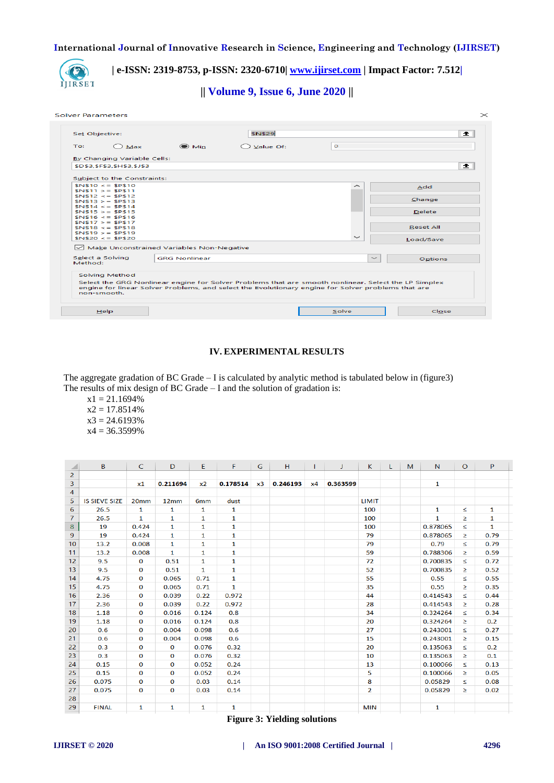

# **| e-ISSN: 2319-8753, p-ISSN: 2320-6710| [www.ijirset.com](http://www.ijirset.com/) | Impact Factor: 7.512|**

**|| Volume 9, Issue 6, June 2020 ||** 

#### Solver Parameters

| To:<br>Max                                     | $\odot$ Min          | Value Of:                                                                                                                                                                                                  | $\circ$      |                  |
|------------------------------------------------|----------------------|------------------------------------------------------------------------------------------------------------------------------------------------------------------------------------------------------------|--------------|------------------|
| By Changing Variable Cells:                    |                      |                                                                                                                                                                                                            |              |                  |
| \$D\$3,\$F\$3,\$H\$3,\$J\$3                    |                      |                                                                                                                                                                                                            |              | 杢                |
| Subject to the Constraints:                    |                      |                                                                                                                                                                                                            |              |                  |
| $$N$10 \leq x \leq $P$10$<br>$SNS11 > 5$ SPS11 |                      |                                                                                                                                                                                                            | ∼            | Add              |
| $SNS12 \leq SNS12$                             |                      |                                                                                                                                                                                                            |              | Change           |
| $SNS13 > = SPS13$<br>$SNS14 \leq SNS14$        |                      |                                                                                                                                                                                                            |              |                  |
| $SNS15 > = SPS15$<br>$SNS16 \leq$ \$P\$16      |                      |                                                                                                                                                                                                            |              | <b>Delete</b>    |
| $SNS17 > = SPS17$                              |                      |                                                                                                                                                                                                            |              |                  |
| $SNS18 \leq SNS18$<br>$SNS19 > $ \$P\$19       |                      |                                                                                                                                                                                                            |              | <b>Reset All</b> |
| $$N$20 \leq $P$20$                             |                      |                                                                                                                                                                                                            | $\checkmark$ | Load/Save        |
| Make Unconstrained Variables Non-Negative      |                      |                                                                                                                                                                                                            |              |                  |
| Select a Solving<br>Method:                    | <b>GRG Nonlinear</b> |                                                                                                                                                                                                            | $\sim$       | <b>Options</b>   |
|                                                |                      |                                                                                                                                                                                                            |              |                  |
| Solving Method                                 |                      |                                                                                                                                                                                                            |              |                  |
|                                                |                      | Select the GRG Nonlinear engine for Solver Problems that are smooth nonlinear. Select the LP Simplex<br>engine for linear Solver Problems, and select the Evolutionary engine for Solver problems that are |              |                  |
| non-smooth.                                    |                      |                                                                                                                                                                                                            |              |                  |

#### **IV. EXPERIMENTAL RESULTS**

The aggregate gradation of BC Grade  $-1$  is calculated by analytic method is tabulated below in (figure3) The results of mix design of BC Grade – I and the solution of gradation is:

 $x1 = 21.1694\%$  $x2 = 17.8514%$  $x3 = 24.6193%$  $x4 = 36.3599%$ 

| ◢              | B                    | C                | D            | E.              | F.           | G  | H        |    | J        | K.             | L | M | N.           | $\circ$ | P            |
|----------------|----------------------|------------------|--------------|-----------------|--------------|----|----------|----|----------|----------------|---|---|--------------|---------|--------------|
| $\overline{2}$ |                      |                  |              |                 |              |    |          |    |          |                |   |   |              |         |              |
| $\overline{3}$ |                      | x1               | 0.211694     | x <sub>2</sub>  | 0.178514     | x3 | 0.246193 | x4 | 0.363599 |                |   |   | 1            |         |              |
| 4              |                      |                  |              |                 |              |    |          |    |          |                |   |   |              |         |              |
| 5              | <b>IS SIEVE SIZE</b> | 20 <sub>mm</sub> | 12mm         | 6 <sub>mm</sub> | dust         |    |          |    |          | <b>LIMIT</b>   |   |   |              |         |              |
| 6              | 26.5                 | $\mathbf{1}$     | $\mathbf{1}$ | $\mathbf{1}$    | $\mathbf{1}$ |    |          |    |          | 100            |   |   | 1            | $\leq$  | $\mathbf{1}$ |
| $\overline{7}$ | 26.5                 | $\mathbf{1}$     | 1            | $\mathbf{1}$    | 1            |    |          |    |          | 100            |   |   | $\mathbf{1}$ | Σ       | $\mathbf{1}$ |
| 8              | 19                   | 0.424            | $\mathbf{1}$ | $\mathbf{1}$    | 1            |    |          |    |          | 100            |   |   | 0.878065     | K       | $\mathbf{1}$ |
| 9              | 19                   | 0.424            | $\mathbf{1}$ | $\mathbf{1}$    | 1            |    |          |    |          | 79             |   |   | 0.878065     | ≥       | 0.79         |
| 10             | 13.2                 | 0.008            | $\mathbf{1}$ | $\mathbf{1}$    | 1            |    |          |    |          | 79             |   |   | 0.79         | ≤       | 0.79         |
| 11             | 13.2                 | 0.008            | $\mathbf{1}$ | $\mathbf{1}$    | 1            |    |          |    |          | 59             |   |   | 0.788306     | ≥       | 0.59         |
| 12             | 9.5                  | $\bf{0}$         | 0.51         | $\mathbf{1}$    | 1            |    |          |    |          | 72             |   |   | 0.700835     | ≤       | 0.72         |
| 13             | 9.5                  | $\mathbf{O}$     | 0.51         | $\mathbf{1}$    | $\mathbf{1}$ |    |          |    |          | 52             |   |   | 0.700835     | ≥       | 0.52         |
| 14             | 4.75                 | $\mathbf 0$      | 0.065        | 0.71            | $\mathbf{1}$ |    |          |    |          | 55             |   |   | 0.55         | ×.      | 0.55         |
| 15             | 4.75                 | $\mathbf{O}$     | 0.065        | 0.71            | $\mathbf{1}$ |    |          |    |          | 35             |   |   | 0.55         | ≥       | 0.35         |
| 16             | 2.36                 | $\mathbf{O}$     | 0.039        | 0.22            | 0.972        |    |          |    |          | 44             |   |   | 0.414543     | s       | 0.44         |
| 17             | 2.36                 | $\mathbf 0$      | 0.039        | 0.22            | 0.972        |    |          |    |          | 28             |   |   | 0.414543     | ≥       | 0.28         |
| 18             | 1.18                 | $\bf{0}$         | 0.016        | 0.124           | 0.8          |    |          |    |          | 34             |   |   | 0.324264     | s       | 0.34         |
| 19             | 1.18                 | 0                | 0.016        | 0.124           | 0.8          |    |          |    |          | 20             |   |   | 0.324264     | ≥       | 0.2          |
| 20             | 0.6                  | $\bf{0}$         | 0.004        | 0.098           | 0.6          |    |          |    |          | 27             |   |   | 0.243001     | ≤       | 0.27         |
| 21             | 0.6                  | $\mathbf{0}$     | 0.004        | 0.098           | 0.6          |    |          |    |          | 15             |   |   | 0.243001     | ≥       | 0.15         |
| 22             | 0.3                  | $\mathbf 0$      | $\bf{0}$     | 0.076           | 0.32         |    |          |    |          | 20             |   |   | 0.135063     | ≤       | 0.2          |
| 23             | 0.3                  | $\bf{0}$         | $\bf{0}$     | 0.076           | 0.32         |    |          |    |          | 10             |   |   | 0.135063     | ≥       | 0.1          |
| 24             | 0.15                 | $\mathbf{0}$     | $\bf{0}$     | 0.052           | 0.24         |    |          |    |          | 13             |   |   | 0.100066     | ≤       | 0.13         |
| 25             | 0.15                 | $\Omega$         | $\bf{0}$     | 0.052           | 0.24         |    |          |    |          | 5              |   |   | 0.100066     | $\geq$  | 0.05         |
| 26             | 0.075                | $\bf{0}$         | $\bf{O}$     | 0.03            | 0.14         |    |          |    |          | 8              |   |   | 0.05829      | ≤       | 0.08         |
| 27             | 0.075                | $\mathbf{0}$     | 0            | 0.03            | 0.14         |    |          |    |          | $\overline{2}$ |   |   | 0.05829      | ≥       | 0.02         |
| 28             |                      |                  |              |                 |              |    |          |    |          |                |   |   |              |         |              |
| 29             | <b>FINAL</b>         | 1                | 1            | 1               | 1            |    |          |    |          | <b>MIN</b>     |   |   | 1            |         |              |

**Figure 3: Yielding solutions**

 $\times$